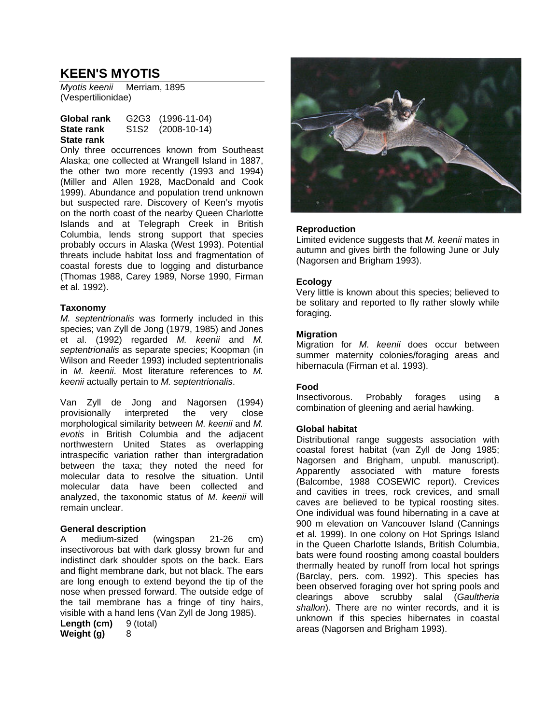# **KEEN'S MYOTIS**

*Myotis keenii* Merriam, 1895 (Vespertilionidae)

#### **Global rank** G2G3 (1996-11-04) **State rank** S1S2 (2008-10-14) **State rank**

Only three occurrences known from Southeast Alaska; one collected at Wrangell Island in 1887, the other two more recently (1993 and 1994) (Miller and Allen 1928, MacDonald and Cook 1999). Abundance and population trend unknown but suspected rare. Discovery of Keen's myotis on the north coast of the nearby Queen Charlotte Islands and at Telegraph Creek in British Columbia, lends strong support that species probably occurs in Alaska (West 1993). Potential threats include habitat loss and fragmentation of coastal forests due to logging and disturbance (Thomas 1988, Carey 1989, Norse 1990, Firman et al. 1992).

# **Taxonomy**

*M. septentrionalis* was formerly included in this species; van Zyll de Jong (1979, 1985) and Jones et al. (1992) regarded *M. keenii* and *M. septentrionalis* as separate species; Koopman (in Wilson and Reeder 1993) included septentrionalis in *M. keenii*. Most literature references to *M. keenii* actually pertain to *M. septentrionalis*.

Van Zyll de Jong and Nagorsen (1994) provisionally interpreted the very close morphological similarity between *M. keenii* and *M. evotis* in British Columbia and the adjacent northwestern United States as overlapping intraspecific variation rather than intergradation between the taxa; they noted the need for molecular data to resolve the situation. Until molecular data have been collected and analyzed, the taxonomic status of *M. keenii* will remain unclear.

# **General description**

A medium-sized (wingspan 21-26 cm) insectivorous bat with dark glossy brown fur and indistinct dark shoulder spots on the back. Ears and flight membrane dark, but not black. The ears are long enough to extend beyond the tip of the nose when pressed forward. The outside edge of the tail membrane has a fringe of tiny hairs, visible with a hand lens (Van Zyll de Jong 1985).

**Length (cm)** 9 (total) **Weight (g)** 8

# **Reproduction**

Limited evidence suggests that *M. keenii* mates in autumn and gives birth the following June or July (Nagorsen and Brigham 1993).

# **Ecology**

Very little is known about this species; believed to be solitary and reported to fly rather slowly while foraging.

# **Migration**

Migration for *M. keenii* does occur between summer maternity colonies/foraging areas and hibernacula (Firman et al. 1993).

# **Food**

Insectivorous. Probably forages using a combination of gleening and aerial hawking.

## **Global habitat**

Distributional range suggests association with coastal forest habitat (van Zyll de Jong 1985; Nagorsen and Brigham, unpubl. manuscript). Apparently associated with mature forests (Balcombe, 1988 COSEWIC report). Crevices and cavities in trees, rock crevices, and small caves are believed to be typical roosting sites. One individual was found hibernating in a cave at 900 m elevation on Vancouver Island (Cannings et al. 1999). In one colony on Hot Springs Island in the Queen Charlotte Islands, British Columbia, bats were found roosting among coastal boulders thermally heated by runoff from local hot springs (Barclay, pers. com. 1992). This species has been observed foraging over hot spring pools and clearings above scrubby salal (*Gaultheria shallon*). There are no winter records, and it is unknown if this species hibernates in coastal areas (Nagorsen and Brigham 1993).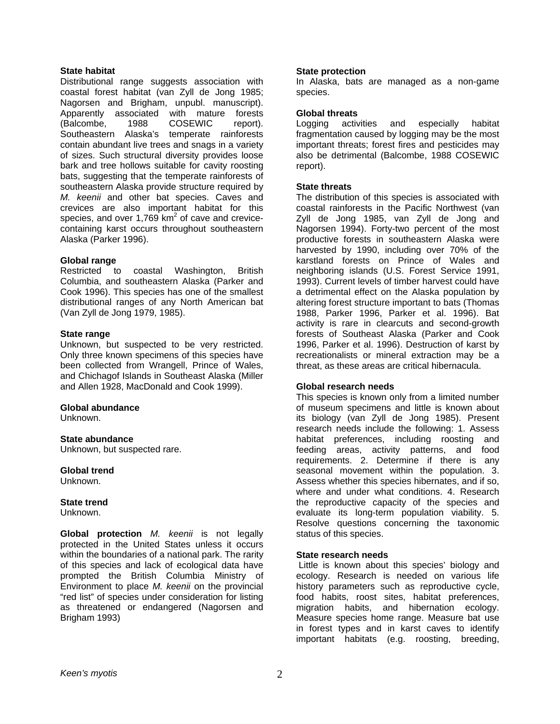## **State habitat**

Distributional range suggests association with coastal forest habitat (van Zyll de Jong 1985; Nagorsen and Brigham, unpubl. manuscript). Apparently associated with mature forests (Balcombe, 1988 COSEWIC report). Southeastern Alaska's temperate rainforests contain abundant live trees and snags in a variety of sizes. Such structural diversity provides loose bark and tree hollows suitable for cavity roosting bats, suggesting that the temperate rainforests of southeastern Alaska provide structure required by *M. keenii* and other bat species. Caves and crevices are also important habitat for this species, and over 1,769  $km^2$  of cave and crevicecontaining karst occurs throughout southeastern Alaska (Parker 1996).

# **Global range**

Restricted to coastal Washington, British Columbia, and southeastern Alaska (Parker and Cook 1996). This species has one of the smallest distributional ranges of any North American bat (Van Zyll de Jong 1979, 1985).

## **State range**

Unknown, but suspected to be very restricted. Only three known specimens of this species have been collected from Wrangell, Prince of Wales, and Chichagof Islands in Southeast Alaska (Miller and Allen 1928, MacDonald and Cook 1999).

## **Global abundance**

Unknown.

## **State abundance**

Unknown, but suspected rare.

## **Global trend**

Unknown.

## **State trend**

Unknown.

**Global protection** *M. keenii* is not legally protected in the United States unless it occurs within the boundaries of a national park. The rarity of this species and lack of ecological data have prompted the British Columbia Ministry of Environment to place *M. keenii* on the provincial "red list" of species under consideration for listing as threatened or endangered (Nagorsen and Brigham 1993)

#### **State protection**

In Alaska, bats are managed as a non-game species.

## **Global threats**

Logging activities and especially habitat fragmentation caused by logging may be the most important threats; forest fires and pesticides may also be detrimental (Balcombe, 1988 COSEWIC report).

## **State threats**

The distribution of this species is associated with coastal rainforests in the Pacific Northwest (van Zyll de Jong 1985, van Zyll de Jong and Nagorsen 1994). Forty-two percent of the most productive forests in southeastern Alaska were harvested by 1990, including over 70% of the karstland forests on Prince of Wales and neighboring islands (U.S. Forest Service 1991, 1993). Current levels of timber harvest could have a detrimental effect on the Alaska population by altering forest structure important to bats (Thomas 1988, Parker 1996, Parker et al. 1996). Bat activity is rare in clearcuts and second-growth forests of Southeast Alaska (Parker and Cook 1996, Parker et al. 1996). Destruction of karst by recreationalists or mineral extraction may be a threat, as these areas are critical hibernacula.

# **Global research needs**

This species is known only from a limited number of museum specimens and little is known about its biology (van Zyll de Jong 1985). Present research needs include the following: 1. Assess habitat preferences, including roosting and feeding areas, activity patterns, and food requirements. 2. Determine if there is any seasonal movement within the population. 3. Assess whether this species hibernates, and if so, where and under what conditions. 4. Research the reproductive capacity of the species and evaluate its long-term population viability. 5. Resolve questions concerning the taxonomic status of this species.

## **State research needs**

 Little is known about this species' biology and ecology. Research is needed on various life history parameters such as reproductive cycle, food habits, roost sites, habitat preferences, migration habits, and hibernation ecology. Measure species home range. Measure bat use in forest types and in karst caves to identify important habitats (e.g. roosting, breeding,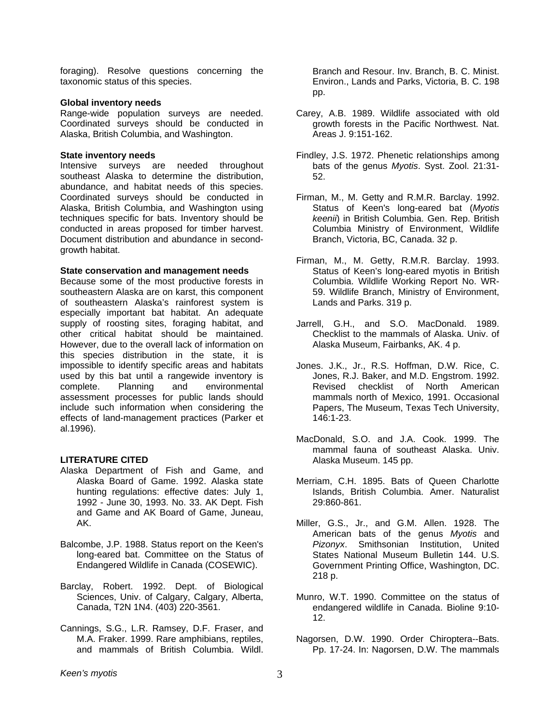foraging). Resolve questions concerning the taxonomic status of this species.

#### **Global inventory needs**

Range-wide population surveys are needed. Coordinated surveys should be conducted in Alaska, British Columbia, and Washington.

#### **State inventory needs**

Intensive surveys are needed throughout southeast Alaska to determine the distribution, abundance, and habitat needs of this species. Coordinated surveys should be conducted in Alaska, British Columbia, and Washington using techniques specific for bats. Inventory should be conducted in areas proposed for timber harvest. Document distribution and abundance in secondgrowth habitat.

#### **State conservation and management needs**

Because some of the most productive forests in southeastern Alaska are on karst, this component of southeastern Alaska's rainforest system is especially important bat habitat. An adequate supply of roosting sites, foraging habitat, and other critical habitat should be maintained. However, due to the overall lack of information on this species distribution in the state, it is impossible to identify specific areas and habitats used by this bat until a rangewide inventory is complete. Planning and environmental assessment processes for public lands should include such information when considering the effects of land-management practices (Parker et al.1996).

## **LITERATURE CITED**

- Alaska Department of Fish and Game, and Alaska Board of Game. 1992. Alaska state hunting regulations: effective dates: July 1, 1992 - June 30, 1993. No. 33. AK Dept. Fish and Game and AK Board of Game, Juneau, AK.
- Balcombe, J.P. 1988. Status report on the Keen's long-eared bat. Committee on the Status of Endangered Wildlife in Canada (COSEWIC).
- Barclay, Robert. 1992. Dept. of Biological Sciences, Univ. of Calgary, Calgary, Alberta, Canada, T2N 1N4. (403) 220-3561.
- Cannings, S.G., L.R. Ramsey, D.F. Fraser, and M.A. Fraker. 1999. Rare amphibians, reptiles, and mammals of British Columbia. Wildl.

Branch and Resour. Inv. Branch, B. C. Minist. Environ., Lands and Parks, Victoria, B. C. 198 pp.

- Carey, A.B. 1989. Wildlife associated with old growth forests in the Pacific Northwest. Nat. Areas J. 9:151-162.
- Findley, J.S. 1972. Phenetic relationships among bats of the genus *Myotis*. Syst. Zool. 21:31- 52.
- Firman, M., M. Getty and R.M.R. Barclay. 1992. Status of Keen's long-eared bat (*Myotis keenii*) in British Columbia. Gen. Rep. British Columbia Ministry of Environment, Wildlife Branch, Victoria, BC, Canada. 32 p.
- Firman, M., M. Getty, R.M.R. Barclay. 1993. Status of Keen's long-eared myotis in British Columbia. Wildlife Working Report No. WR-59. Wildlife Branch, Ministry of Environment, Lands and Parks. 319 p.
- Jarrell, G.H., and S.O. MacDonald. 1989. Checklist to the mammals of Alaska. Univ. of Alaska Museum, Fairbanks, AK. 4 p.
- Jones. J.K., Jr., R.S. Hoffman, D.W. Rice, C. Jones, R.J. Baker, and M.D. Engstrom. 1992. Revised checklist of North American mammals north of Mexico, 1991. Occasional Papers, The Museum, Texas Tech University, 146:1-23.
- MacDonald, S.O. and J.A. Cook. 1999. The mammal fauna of southeast Alaska. Univ. Alaska Museum. 145 pp.
- Merriam, C.H. 1895. Bats of Queen Charlotte Islands, British Columbia. Amer. Naturalist 29:860-861.
- Miller, G.S., Jr., and G.M. Allen. 1928. The American bats of the genus *Myotis* and *Pizonyx*. Smithsonian Institution, United States National Museum Bulletin 144. U.S. Government Printing Office, Washington, DC. 218 p.
- Munro, W.T. 1990. Committee on the status of endangered wildlife in Canada. Bioline 9:10- 12.
- Nagorsen, D.W. 1990. Order Chiroptera--Bats. Pp. 17-24. In: Nagorsen, D.W. The mammals